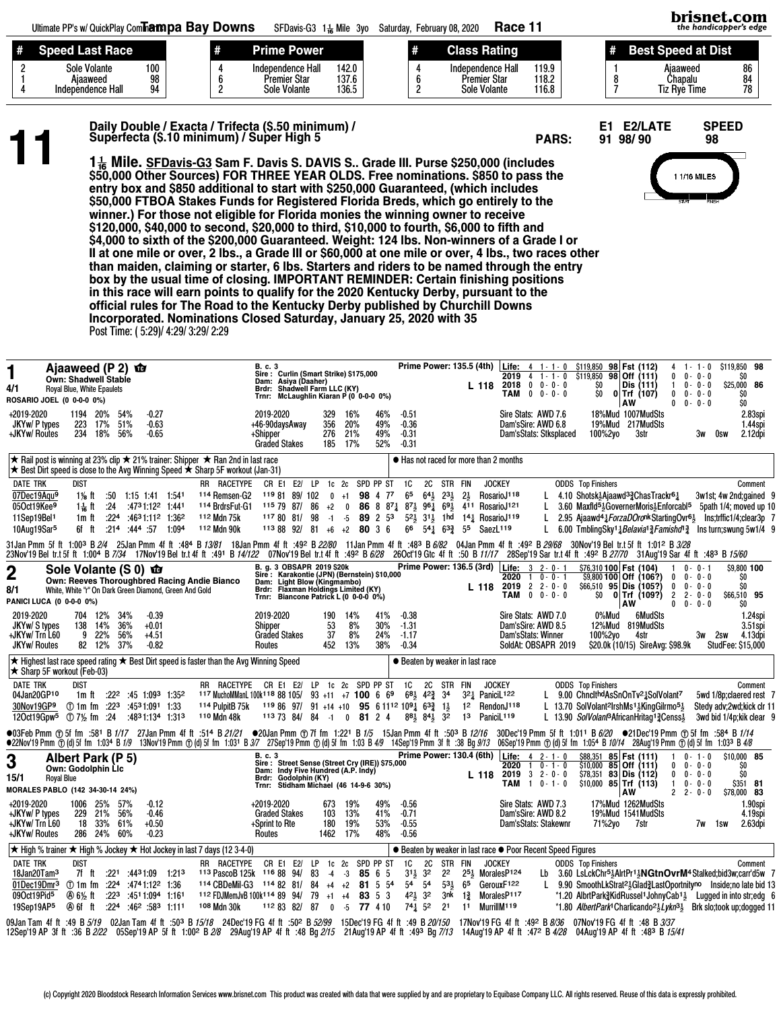PARS: 91 98/ 90

E1 E2/LATE SPEED<br>91 98/90 98



Daily Double / Exacta / Trifecta (\$.50 minimum) /<br>
Superfecta (\$.10 minimum) / Super High 5<br>
1<sup>1</sup> Mile. SFDavis-G3 Sam F. Davis S. DAVIS S.. Grade III. Purse \$250,000 (includes<br>
SEQ 000 Other Seuroes) FOR THREE VEAR OLDS. \$50,000 Other Sources) FOR THREE YEAR OLDS. Free nominations. \$850 to pass the entry box and \$850 additional to start with \$250,000 Guaranteed, (which includes \$50,000 FTBOA Stakes Funds for Registered Florida Breds, which go entirely to the winner.) For those not eligible for Florida monies the winning owner to receive \$120,000, \$40,000 to second, \$20,000 to third, \$10,000 to fourth, \$6,000 to fifth and \$4,000 to sixth of the \$200,000 Guaranteed. Weight: 124 lbs. Non-winners of a Grade I or II at one mile or over, 2 lbs., a Grade III or \$60,000 at one mile or over, 4 lbs., two races other than maiden, claiming or starter, 6 lbs. Starters and riders to be named through the entry box by the usual time of closing. IMPORTANT REMINDER: Certain finishing positions in this race will earn points to qualify for the 2020 Kentucky Derby, pursuant to the official rules for The Road to the Kentucky Derby published by Churchill Downs Incorporated. Nominations Closed Saturday, January 25, 2020 with 35 Post Time: ( 5:29)/ 4:29/ 3:29/ 2:29

| Ajaaweed (P 2)<br>恼<br>1<br>Own: Shadwell Stable<br>4/1<br>Royal Blue, White Epaulets<br>ROSARIO JOEL (0 0-0-0 0%)                                                                                                                                                                                                                                                                                                               | B. c. 3<br>Sire: Curlin (Smart Strike) \$175,000<br>Dam: Asiya (Daaher)<br>Brdr: Shadwell Farm LLC (KY)<br>Trnr: McLaughlin Kiaran P (0 0-0-0 0%)                                                                                                                  | Prime Power: 135.5 (4th) Life: 4 1-1-0 \$119,850 98 Fst (112)<br>2019 4 1 - 1 - 0<br>$2018$ 0 0 $0$ 0 $0$<br>L 118<br><b>TAM</b> 0 0 - 0 - 0                                                                                                                                                                                       | \$119,850 98<br>$1 - 1 - 0$<br>\$119,850<br>98 Off (111)<br>$0 - 0 - 0$<br>\$O<br>$\mathbf{0}$<br>\$O<br>$0 - 0 - 0$<br>\$25,000 86<br>Dis (111)<br>$\mathbf{1}$<br>\$O<br>SO.<br>$0$ Trf (107)<br>$\mathbf{0}$<br>$0 - 0 - 0$<br>ŠŌ.<br>AW<br>$0 - 0 - 0$<br>$\mathbf{0}$                                                                                                                                                                  |
|----------------------------------------------------------------------------------------------------------------------------------------------------------------------------------------------------------------------------------------------------------------------------------------------------------------------------------------------------------------------------------------------------------------------------------|--------------------------------------------------------------------------------------------------------------------------------------------------------------------------------------------------------------------------------------------------------------------|------------------------------------------------------------------------------------------------------------------------------------------------------------------------------------------------------------------------------------------------------------------------------------------------------------------------------------|---------------------------------------------------------------------------------------------------------------------------------------------------------------------------------------------------------------------------------------------------------------------------------------------------------------------------------------------------------------------------------------------------------------------------------------------|
| $-0.27$<br>+2019-2020<br>1194 20%<br>54%<br>JKYw/ P types<br>223 17%<br>51%<br>$-0.63$<br>+JKYw/ Routes<br>234 18%<br>56%<br>$-0.65$                                                                                                                                                                                                                                                                                             | 46%<br>2019-2020<br>329<br>16%<br>+46-90daysAway<br>356<br>20%<br>49%<br>49%<br>276<br>21%<br>+Shipper<br><b>Graded Stakes</b><br>17%<br>52%<br>185                                                                                                                | $-0.51$<br>Sire Stats: AWD 7.6<br>$-0.36$<br>Dam'sSire: AWD 6.8<br>$-0.31$<br>Dam'sStats: Stksplaced<br>$-0.31$                                                                                                                                                                                                                    | 18%Mud 1007MudSts<br>2.83spi<br>19%Mud 217MudSts<br>1.44spi<br>2.12dpi<br>100%2yo<br>3str<br>3w<br>0sw                                                                                                                                                                                                                                                                                                                                      |
| ★ Rail post is winning at 23% clip ★ 21% trainer: Shipper ★ Ran 2nd in last race<br>★ Best Dirt speed is close to the Avg Winning Speed ★ Sharp 5F workout (Jan-31)                                                                                                                                                                                                                                                              |                                                                                                                                                                                                                                                                    | ● Has not raced for more than 2 months                                                                                                                                                                                                                                                                                             |                                                                                                                                                                                                                                                                                                                                                                                                                                             |
| <b>DATE TRK</b><br>dist<br>RR RACETYPE<br>07Dec19Aqu <sup>9</sup><br><sup>114</sup> Remsen-G2<br>1\/ <sub>8</sub> ft $:50$ 1:15 1:41 1:54<br>05Oct19Kee9<br>114 BrdrsFut-G1<br>1 <sup>1</sup> / <sub>16</sub> ft :24 :47 <sup>3</sup> 1:12 <sup>2</sup> 1:44 <sup>1</sup><br>11Sep19Bel1<br>$:224$ $:4631:112$ $1:362$<br>112 Mdn 75k<br>1m ft<br>10Aug19Sar <sup>5</sup><br>112 Mdn 90k<br>6f ft<br>$:214$ $:444$ $:57$ $1:094$ | CR E1 E2/ LP 1c 2c SPD PP ST<br>119 81 89/102<br>98 4 77<br>$0 + 1$<br>$1157987/86+2$<br>$0$ 86 8 8 $^{74}$<br>117 80 81/ 98<br>89 2 53<br>$-1$ $-5$<br>$1138892$ 81 +6 +2 80 3 6                                                                                  | 1C<br>2C STR FIN<br><b>JOCKEY</b><br>65<br>$64\frac{1}{2}$ $23\frac{1}{2}$ $2\frac{1}{2}$<br>RosarioJ <sup>118</sup><br>$87\frac{1}{2}$<br>961 691 411 RosarioJ121<br>L<br>52} 31} 1hd 141 RosarioJ119<br>L<br>$66 \quad 54\frac{1}{4} \quad 63\frac{3}{4} \quad 55$<br>SaezL <sup>119</sup><br>L                                  | <b>ODDS</b> Top Finishers<br>Comment<br>L 4.10 Shotsk <sup>1</sup> Ajaawd <sup>3</sup> 2 Chas Trackr <sup>61</sup><br>3w1st; 4w 2nd; gained 9<br>3.60 Maxfld <sup>51</sup> Governer Moris <sup>1</sup> Enforcabl <sup>5</sup> 5path 1/4; moved up 10<br>2.95 Ajaawd <sup>4</sup> <i>&amp; ForzaDOronk</i> Starting Ovr <sup>6</sup> Jns; trific 1/4; clear 3p 7<br>6.00 TmblingSky14Belavia13Famishd <sup>13</sup> 4 Insturn; swung 5w1/4 9 |
| 31Jan Pmm 5f ft 1:003 B 2/4 25Jan Pmm 4f ft .484 B 13/81 18Jan Pmm 4f ft .492 B 22/80 11Jan Pmm 4f ft .483 B 6/82 04Jan Pmm 4f ft .492 B 29/68 30Nov'19 Bel tr.t 5f ft 1:012 B 3/28<br>23Nov'19Beltr.t5fft 1:00+1B7/34 17Nov'19Beltr.t4fft .491 B <i>14/122</i> 07Nov'19Beltr.t4fft .49ºB6/28 26Oct'19Gtc 4fft :50B <i>11/17</i> 28Sep'19Sartr.t4fft :49ºB <i>2770</i> 31Aug'19Sar4fft :483 B <i>15/60</i>                       |                                                                                                                                                                                                                                                                    |                                                                                                                                                                                                                                                                                                                                    |                                                                                                                                                                                                                                                                                                                                                                                                                                             |
| Sole Volante (S 0) <b>to</b><br>$\mathbf 2$<br>Own: Reeves Thoroughbred Racing Andie Bianco<br>8/1<br>White, White "r" On Dark Green Diamond, Green And Gold<br>PANICI LUCA (0 0-0-0 0%)                                                                                                                                                                                                                                         | B. g. 3 OBSAPR 2019 \$20k<br>Sire: Karakontie (JPN) (Bernstein) \$10,000<br>Dam: Light Blow (Kingmambo)<br>Brdr: Flaxman Holdings Limited (KY)<br>Trnr: Biancone Patrick L (0 0-0-0 0%)                                                                            | Prime Power: 136.5 (3rd)   Life: 3 2-0-1<br>$10 - - 1$<br>2020<br>2019<br>$2$ 2 - 0 - 0<br>L 118<br>$0 \t 0 - 0 - 0$<br>TAM                                                                                                                                                                                                        | \$76,310 100 Fst (104)<br>\$9,800 100<br>$0 - 0 - 1$<br>\$0<br>\$9,800 100 Off (106?)<br>$0 - 0 - 0$<br>$\mathbf{0}$<br>Ś0<br>$0 - 0 - 0$<br>$$66,510$ 95 Dis (105?)<br>0<br>SO.<br>$\overline{2}$<br>$0 $ Trf (109?)<br>$2 - 0 - 0$<br>\$66,510 95<br>AW<br>$\mathbf{0}$<br>$0 - 0 - 0$<br>SO.                                                                                                                                             |
| 2019-2020<br>704 12%<br>34%<br>$-0.39$<br>JKYw/S types<br>138 14%<br>36%<br>$+0.01$<br>+JKYw/ Trn L60<br>22%<br>56%<br>9<br>$+4.51$<br>82 12%<br>37%<br><b>JKYw/ Routes</b><br>$-0.82$                                                                                                                                                                                                                                           | 2019-2020<br>190<br>14%<br>41%<br>53<br>8%<br>30%<br>Shipper<br>37<br>8%<br><b>Graded Stakes</b><br>24%<br>13%<br>38%<br>Routes<br>452                                                                                                                             | $-0.38$<br>Sire Stats: AWD 7.0<br>$-1.31$<br>Dam'sSire: AWD 8.5<br>$-1.17$<br>Dam'sStats: Winner<br>$-0.34$<br>SoldAt: OBSAPR 2019                                                                                                                                                                                                 | 0%Mud<br>6MudSts<br>1.24spi<br>12%Mud 819MudSts<br>$3.51$ spi<br>100%2yo<br>2sw<br>4.13dpi<br>4str<br>3w<br>\$20.0k (10/15) SireAvg: \$98.9k<br><b>StudFee: \$15,000</b>                                                                                                                                                                                                                                                                    |
| $\star$ Highest last race speed rating $\star$ Best Dirt speed is faster than the Avg Winning Speed<br>★ Sharp 5F workout (Feb-03)                                                                                                                                                                                                                                                                                               |                                                                                                                                                                                                                                                                    | ● Beaten by weaker in last race                                                                                                                                                                                                                                                                                                    |                                                                                                                                                                                                                                                                                                                                                                                                                                             |
| <b>DATE TRK</b><br>dist<br>04Jan20GP10<br>1m ft $:22^2$ :45 1:09 <sup>3</sup> 1:35 <sup>2</sup><br>$\circ$ 1m fm :22 <sup>3</sup> :45 <sup>3</sup> 1:09 <sup>1</sup> 1:33<br>114 PulpitB 75k<br>30Nov19GP9<br>110 Mdn 48k<br>120ct19Gpw <sup>5</sup> ① 7½ fm :24 :48 <sup>3</sup> 1:134 1:31 <sup>3</sup>                                                                                                                        | RR RACETYPE CR E1 E2/ LP 1c 2c SPD PP ST<br>117 MuchoMManL 100k118 88 105/ 93 +11 +7 100 6 69<br>$11986$ 97/ 91 +14 +10 95 6 11 <sup>12</sup> 10 <sup>9</sup> 4 6 <sup>3</sup> 3 <sup>1</sup><br>$1137384/84$ -1 0 81 2 4                                          | 1C<br><b>JOCKEY</b><br>2C<br>STR FIN<br>321 PaniciL122<br>$68\frac{1}{2}$ $42\frac{3}{4}$ $34$<br>RendonJ118<br>12<br>$8^{81}_{2}$ $8^{41}_{2}$ $3^{2}$<br>PaniciL <sup>119</sup><br>13                                                                                                                                            | <b>ODDS</b> Top Finishers<br>Comment<br>L 9.00 ChnclthdAsSnOnTv <sup>21</sup> <sub>4</sub> SolVolant <sup>7</sup><br>5wd 1/8p; claered rest 7<br>L 13.70 SolVolant <sup>2</sup> IrshMs <sup>1</sup> KingGilrmo <sup>51</sup><br>Stedy adv;2wd;kick clr 11<br>L 13.90 SolVolant <sup>3</sup> AfricanHritag <sup>1</sup> 3 Censs <sup>1</sup><br>3wd bid 1/4p; kik clear 9                                                                    |
| ●03Feb Pmm ①5f fm :581 B 1/17 27Jan Pmm 4f ft :514 B 21/21 ●20Jan Pmm ①7f fm 1:221 B 1/5 15Jan Pmm 4f ft :503 B 12/16 30Dec'19 Pmm 5f ft 1:011 B 6/20 ●21Dec'19 Pmm ①5f fm :584 B 1/14<br>●22Nov'19 Pmm ① (d) 5f fm 1:034 B 1/9 13Nov'19 Pmm ① (d) 5f fm 1:031 B 3/7 27Sep'19 Pmm ① (d) 5f fm 1:03 B 4/9 14Sep'19 Pmm 3f ft :38 Bg 9/13 06Sep'19 Pmm ① (d) 5f fm 1:034 B 10/14 28Aug'19 Pmm ① (d) 5f fm 1:033 B 4/8              |                                                                                                                                                                                                                                                                    |                                                                                                                                                                                                                                                                                                                                    |                                                                                                                                                                                                                                                                                                                                                                                                                                             |
| 3<br>Albert Park (P 5)<br>Own: Godolphin Lic<br><b>Royal Blue</b><br>15/1<br><b>MORALES PABLO (142 34-30-14 24%)</b>                                                                                                                                                                                                                                                                                                             | B. c. 3<br>Sire: Street Sense (Street Cry (IRE)) \$75,000<br>Dam: Indy Five Hundred (A.P. Indy)<br>Brdr: Godolphin (KY)<br>Stidham Michael (46 14-9-6 30%)<br>Trnr:                                                                                                | <b>Prime Power: 130.4 (6th)</b><br>Life:<br>$4$ $2 - 1 - 0$<br>2020<br>$1 \t0 - 1 - 0$<br>$2019$ 3 2 - 0 - 0<br>L 118<br>$1 \t0 - 1 - 0$<br>TAM                                                                                                                                                                                    | \$88,351 85 Fst (111)<br>\$10,000 85<br>$0 - 1 - 0$<br>$$10,000$ 85 Off (111)<br>$0 - 0 - 0$<br>SO<br>0<br>\$O<br>$$78,351$ 83 Dis (112)<br>$\mathbf 0$<br>$0 - 0 - 0$<br>$$10,000$ 85 Trf (113)<br>\$351 81<br>$0 - 0 - 0$<br>-1<br>AW<br>$2 2 - 0 - 0$<br>\$78,000 83                                                                                                                                                                     |
| $-0.12$<br>+2019-2020<br>1006 25%<br>57%<br>+JKYw/ P types<br>229 21%<br>56%<br>$-0.46$<br>61%<br>+JKYw/ Trn L60<br>18 33%<br>$+0.50$<br>+JKYw/ Routes<br>286 24% 60%<br>$-0.23$                                                                                                                                                                                                                                                 | +2019-2020<br>673<br>19%<br>49%<br><b>Graded Stakes</b><br>103<br>13%<br>41%<br>53%<br>+Sprint to Rte<br>19%<br>180<br>1462<br>17%<br>48%<br>Routes                                                                                                                | $-0.56$<br>Sire Stats: AWD 7.3<br>Dam'sSire: AWD 8.2<br>$-0.71$<br>$-0.55$<br>Dam'sStats: Stakewnr<br>$-0.56$                                                                                                                                                                                                                      | 17%Mud 1262MudSts<br>1.90spi<br>19%Mud 1541MudSts<br>4.19spi<br>71%2yo<br>7str<br>2.63dpi<br>7w<br>1sw                                                                                                                                                                                                                                                                                                                                      |
| ★ High % trainer ★ High % Jockey ★ Hot Jockey in last 7 days (12 3-4-0)                                                                                                                                                                                                                                                                                                                                                          |                                                                                                                                                                                                                                                                    | ● Beaten by weaker in last race ● Poor Recent Speed Figures                                                                                                                                                                                                                                                                        |                                                                                                                                                                                                                                                                                                                                                                                                                                             |
| <b>DATE TRK</b><br>RR RACETYPE<br>dist<br>18Jan20Tam <sup>3</sup><br>7f ft<br>113 PascoB 125k<br>:221<br>:4431:09<br>1:213<br>01Dec19Dmr <sup>3</sup><br>:224<br>:4741:122 1:36<br>$\circled{1}$ 1m fm<br>09Oct19Pid <sup>5</sup><br><b>④6½ ft</b><br>:223<br>:4511:094 1:161<br>$:224$ $:462$ $:583$ 1:111<br>108 Mdn 30k<br>19Sep19AP5<br>④of ft                                                                               | 1c 2c SPD PP ST<br>CR E1 E2/<br>LP<br>116 88 94/<br>83<br>$-4$<br>$-3$<br>85 6 5<br>114 CBDeMil-G3 114 82 81/<br>84<br>$+4$ $+2$<br>81 5 54<br>112 FDJMemJvB 100k114 89 94/<br>79<br>83 5 3<br>$+1$<br>$+4$<br>112 83 82/<br>87<br>$-5$<br>77 4 10<br>$\mathbf{0}$ | 1C<br>2C<br>STR FIN<br><b>JOCKEY</b><br>$3^{11}$ <sub>2</sub> 3 <sup>2</sup><br>2 <sup>2</sup><br>$251$ MoralesP124<br>5 <sup>4</sup><br>GerouxF122<br>54<br>$5^{31}$<br>65<br>$42\frac{1}{2}$<br>3 <sup>2</sup><br>3nk<br>MoralesP117<br>$1\frac{3}{7}$<br>$74\overline{1}$ 52<br>2 <sup>1</sup><br>MurrillM <sup>119</sup><br>11 | <b>ODDS</b> Top Finishers<br>Comment<br>Lb 3.60 LsLckChr <sup>5</sup> 3AlrtPr <sup>1</sup> 3NGtnOvrM <sup>4</sup> Stalked;bid3w;carr'd5w 7<br>L 9.90 SmoothLkStrat <sup>21</sup> Glad <sup>3</sup> LastOportnity <sup>no</sup> Inside;no late bid 13<br>*1.20 AlbrtPark?KidRussel1JohnyCab11 Lugged in into str:edg 6<br>*1.80 AlbertPark <sup>1</sup> Charlicando <sup>21</sup> /2 Lykn <sup>31</sup> Brk slo;took up;dogged 11            |
| 09Jan Tam 4f ft :49 B 5/1 <i>9</i> 02Jan Tam 4f ft :50 <sup>3</sup> B 15/1 <i>8</i> 24Dec'19 FG 4f ft :502 B 52/99 15Dec'19 FG 4f ft :49 B 20/150 17Nov'19 FG 4f ft :492 B 8/36 07Nov'19 FG 4f ft :48 B 3/37<br>12/9/13 AP 3f ft :36 B 2/22 05Sep'19 AP 5f ft 1:00 º B 2/8 29Aug'19 AP 4f ft :48 Bg 2/15 21Aug'19 AP 4f ft :493 Bg 7/13 14Aug'19 AP 4f ft :47 º B 4/28 04Aug'19 AP 4f ft :483 B 15/41                            |                                                                                                                                                                                                                                                                    |                                                                                                                                                                                                                                                                                                                                    |                                                                                                                                                                                                                                                                                                                                                                                                                                             |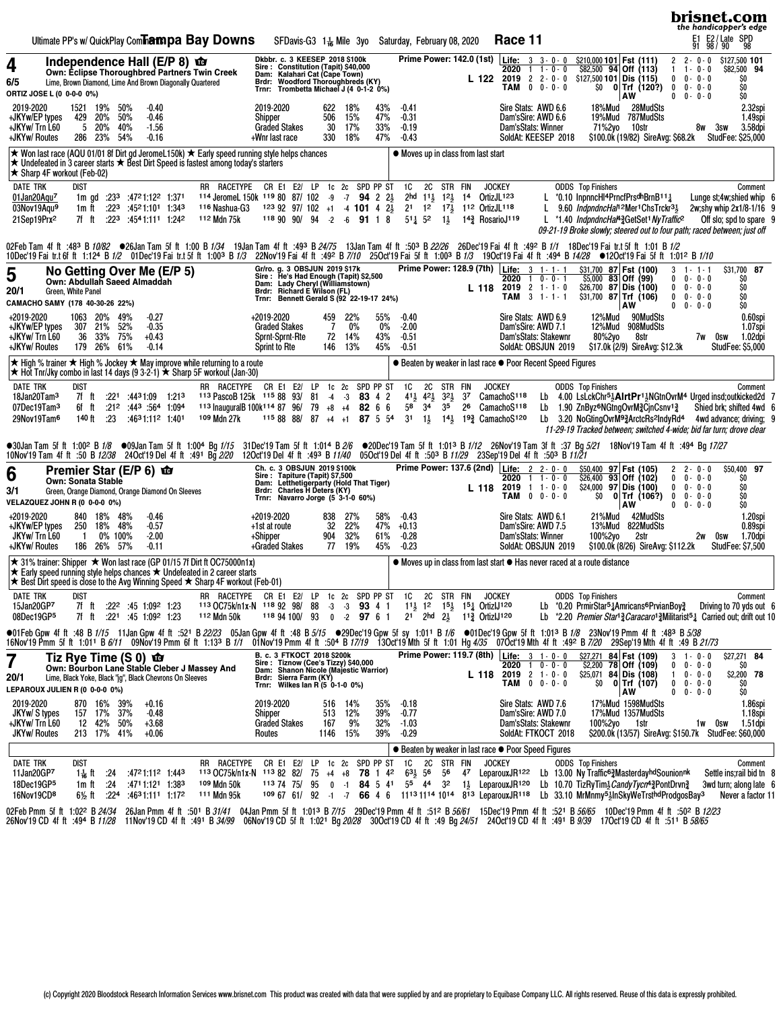|                                                                                                                                                                                                                                                                                                                                                                                                                                                                                                                                                                                                                                                                                                                                                                                                                                                                                                                                                      | brisnet.com<br>the handicapper's edge                                                                                                                                                                                                    |
|------------------------------------------------------------------------------------------------------------------------------------------------------------------------------------------------------------------------------------------------------------------------------------------------------------------------------------------------------------------------------------------------------------------------------------------------------------------------------------------------------------------------------------------------------------------------------------------------------------------------------------------------------------------------------------------------------------------------------------------------------------------------------------------------------------------------------------------------------------------------------------------------------------------------------------------------------|------------------------------------------------------------------------------------------------------------------------------------------------------------------------------------------------------------------------------------------|
| Ultimate PP's w/ QuickPlay Com <b>hampa Bay Downs</b><br>Race 11<br>SFDavis-G3 1 <sup>1</sup> / <sub>6</sub> Mile 3yo<br>Saturday, February 08, 2020                                                                                                                                                                                                                                                                                                                                                                                                                                                                                                                                                                                                                                                                                                                                                                                                 | E2 / Late SPD<br>98 / 90 98<br>퇴<br>91                                                                                                                                                                                                   |
| Prime Power: 142.0 (1st)   Life: 3 3 - 0 - 0<br>Dkbbr. c. 3 KEESEP 2018 \$100k<br>\$210,000 101 Fst (111)<br>Independence Hall ( $E/P$ 8) $\Phi$<br>4<br>Sire: Constitution (Tapit) \$40,000<br>$$82,500$ 94 Off (113)<br>2020<br>$1 \t1 - 0 - 0$<br>Own: Eclipse Thoroughbred Partners Twin Creek<br>Kalahari Cat (Cape Town)<br>Dam:<br>$2019$ 2 2 $\cdot$ 0 $\cdot$ 0<br>$$127,500$ 101 Dis (115)<br>L 122<br>6/5<br>Lime, Brown Diamond, Lime And Brown Diagonally Quartered<br><b>Woodford Thoroughbreds (KY)</b><br>Brdr:<br>$0 \t 0 - 0 - 0$<br>$$0$ 0 Trf (120?)<br>TAM<br>Trnr:<br>Trombetta Michael J (4 0-1-2 0%)<br>ORTIZ JOSE L (0 0-0-0 0%)<br><b>AW</b>                                                                                                                                                                                                                                                                               | $2 2 - 0 - 0$<br>\$127,500 101<br>\$82,500 94<br>$\mathbf{1}$<br>$1 - 0 - 0$<br>$0 - 0 - 0$<br>\$O<br>0<br>\$O<br>$\bf{0}$<br>$0 - 0 - 0$<br>$0 \t 0 \t 0 \t 0 \t 0$<br>\$O                                                              |
| 28MudSts<br>2019-2020<br>1521 19% 50%<br>$-0.40$<br>2019-2020<br>622<br>43%<br>$-0.41$<br>Sire Stats: AWD 6.6<br>18%Mud<br>18%<br>429 20%<br>50%<br>$-0.46$<br>506<br>15%<br>47%<br>$-0.31$<br>19%Mud 787MudSts<br>+JKYw/EP types<br>Dam'sSire: AWD 6.6<br>Shipper<br>5<br>40%<br>30<br>17%<br>33%<br>+JKYw/ Trn L60<br>20%<br>$-1.56$<br><b>Graded Stakes</b><br>$-0.19$<br>Dam'sStats: Winner<br>71%2yo<br>10str<br>54%<br>18%<br>47%<br>\$100.0k (19/82) SireAvg: \$68.2k<br>+JKYw/ Routes<br>286<br>23%<br>$-0.16$<br>330<br>$-0.43$<br>SoldAt: KEESEP 2018<br>+Wnr last race                                                                                                                                                                                                                                                                                                                                                                    | 2.32spi<br>1.49spi<br>3sw<br>8w<br>3.58dpi<br>StudFee: \$25,000                                                                                                                                                                          |
| ★ Won last race (AQU 01/01 8f Dirt gd JeromeL150k) ★ Early speed running style helps chances<br>• Moves up in class from last start<br>$\star$ Undefeated in 3 career starts $\star$ Best Dirt Speed is fastest among today's starters<br>★ Sharp 4F workout (Feb-02)                                                                                                                                                                                                                                                                                                                                                                                                                                                                                                                                                                                                                                                                                |                                                                                                                                                                                                                                          |
| <b>DATE TRK</b><br><b>DIST</b><br>RR RACETYPE CR E1 E2/ LP 1c 2c SPD PP ST<br>1C<br>2C STR FIN<br><b>JOCKEY</b><br><b>ODDS</b> Top Finishers<br>114 Jeromel 150k 119 80 87/ 102 -9 -7 94 2 2<br>2hd $11\frac{1}{2}$ $12\frac{1}{2}$ 14<br>OrtizJL <sub>123</sub><br>*0.10 InpnncHI4PrncfPrsdhBrnB111<br>01Jan20Aqu <sup>7</sup><br>1m gd :23 <sup>3</sup> :47 <sup>2</sup> 1:12 <sup>2</sup> 1:371<br>21 12 17 112 OrtizJL118<br>03Nov19Aqu <sup>9</sup><br>$:22^3$ $:45^21:10^1$ 1:343<br><sup>116</sup> Nashua-G3<br>$1239297/102 +1$ 4 101 4 $2\frac{1}{2}$<br>L<br>9.60 <i>IndpndncHal</i> <sup>12</sup> Mer <sup>1</sup> ChsTrckr <sup>31</sup> / <sub>2</sub><br>1m ft<br>$:22^3$ :4541:111 1:242<br>112 Mdn 75k<br>118 90 90/ 94<br>$-2$ $-6$ <b>91</b> 1 8<br>$5^{11}$ 52<br>14 <sup>3</sup> RosarioJ119<br>21Sep19Prx <sup>2</sup><br>7f ft<br>*1.40 IndpndncHal <sup>43</sup> GetSet <sup>1</sup> NyTraffic <sup>2</sup><br>$1\frac{1}{2}$ | Comment<br>Lunge st;4w;shied whip 6<br>2w;shy whip 2x1/8-1/16 9<br>Off slo; spd to spare 9<br>09-21-19 Broke slowly; steered out to four path; raced between; just off                                                                   |
| 02Feb Tam 4f ft :483 B 10/82 ●26Jan Tam 5f ft 1:00 B 1/34 19Jan Tam 4f ft :493 B 24/75 13Jan Tam 4f ft :503 B 22/26 26Dec'19 Fai 4f ft :492 B 1/1 18Dec'19 Fai it.t 5f ft 1:01 B 1/2<br>10Dec'19 Fai tr.t 6f ft 1:124 B 1/2 01Dec'19 Fai tr.t 5f ft 1:003 B 1/3 22Nov'19 Fai 4f ft :492 B 7/10 25Oct'19 Fai 5f ft 1:003 B 1/3 19Oct'19 Fai 4f ft :494 B 14/28 ●12Oct'19 Fai 5f ft 1:012 B 1/10                                                                                                                                                                                                                                                                                                                                                                                                                                                                                                                                                       |                                                                                                                                                                                                                                          |
| Prime Power: 128.9 (7th) Life: 3 1-1-1<br>Gr/ro. g. 3 OBSJUN 2019 \$17k<br>\$31,700 87 Fst (100)<br>No Getting Over Me (E/P 5)<br>5<br>Sire: He's Had Enough (Tapit) \$2,500<br>Dam: Lady Cheryl (Williamstown)<br>Brdr: Richard E Wilson (FL)<br>$55,000$ 83 Off (99)<br>$1 \t 0 - 0 - 1$<br>2020<br>Own: Abdullah Saeed Almaddah<br>$2019$ 2 1 - 1 - 0<br>\$26,700 87 Dis (100)<br>L 118<br>20/1<br>Green, White Panel<br>$TAM$ 3 1 - 1 - 1<br>$$31,700$ 87 Trf (106)<br>Bennett Gerald S (92 22-19-17 24%)<br>Trnr:<br>CAMACHO SAMY (178 40-30-26 22%)<br>AW                                                                                                                                                                                                                                                                                                                                                                                      | \$31,700 87<br>3<br>$1 - 1 - 1$<br>$0 - 0 - 0$<br>$\mathbf{0}$<br>SO<br>$0 - 0 - 0$<br>\$O<br>$\mathbf{0}$<br>\$O<br>$\mathbf 0$<br>$0 - 0 - 0$<br>\$O<br>$\mathbf{0}$<br>$0 - 0 - 0$                                                    |
| 49%<br>$-0.27$<br>12%Mud<br>+2019-2020<br>1063 20%<br>+2019-2020<br>459<br>22%<br>55%<br>$-0.40$<br>Sire Stats: AWD 6.9<br>90MudSts<br>$-2.00$<br>+JKYw/EP types<br>307 21%<br>52%<br>$-0.35$<br><b>Graded Stakes</b><br>7<br>$0\%$<br>$0\%$<br>Dam'sSire: AWD 7.1<br>12%Mud<br>908MudSts<br>36<br>33% 75%<br>43%<br>Dam'sStats: Stakewnr<br>+JKYw/ Trn L60<br>$+0.43$<br>Sprnt-Sprnt-Rte<br>72<br>14%<br>$-0.51$<br>80%2yo<br>8str<br>+JKYw/ Routes<br>179 26% 61%<br>13%<br>SoldAt: OBSJUN 2019<br>$-0.14$<br>Sprint to Rte<br>146<br>45%<br>$-0.51$<br>\$17.0k (2/9) SireAvg: \$12.3k                                                                                                                                                                                                                                                                                                                                                             | 0.60spi<br>1.07spi<br>1.02dpi<br>7w 0sw<br><b>StudFee: \$5,000</b>                                                                                                                                                                       |
| $\star$ High % trainer $\star$ High % Jockey $\star$ May improve while returning to a route<br>● Beaten by weaker in last race ● Poor Recent Speed Figures<br>★ Hot Tnr/Jky combo in last 14 days (9 3-2-1) ★ Sharp 5F workout (Jan-30)                                                                                                                                                                                                                                                                                                                                                                                                                                                                                                                                                                                                                                                                                                              |                                                                                                                                                                                                                                          |
| <b>DIST</b><br>CR E1 E2/<br>1c <sub>2c</sub><br>SPD PP ST<br><b>DATE TRK</b><br>RR RACETYPE<br>LP<br>1C<br>2C STR FIN<br><b>JOCKEY</b><br><b>ODDS</b> Top Finishers<br>113 PascoB 125k 115 88 93/<br>$41\frac{1}{2}$ $42\frac{1}{2}$<br>$3^{21}$<br>37<br>CamachoS118<br>18Jan20Tam <sup>3</sup><br>7f ft<br>$:22^1$ $:44^31:09$ 1:21 <sup>3</sup><br>-81<br>$-3$<br>83 4 2<br>Lb<br>$-4$<br>3 <sup>4</sup><br>1.094 1.094<br>113 InauguralB 100k <sup>114</sup> 87 96/<br>79<br>58<br>35<br>26<br>CamachoS <sup>118</sup><br>1.90 ZnByz <sup>6</sup> NGtngOvrM2CjnCsnv <sup>12</sup><br>07Dec19Tam <sup>3</sup><br>6f ft<br>$+8$ $+4$<br>82 6 6<br>Lb<br>109 Mdn 27k<br>115 88 88/<br>$1\frac{1}{2}$<br>$14\frac{1}{2}$<br>193 CamachoS120<br>3.20 NoGtingOvrM93ArctcRs2IndyRd4<br>29Nov19Tam <sup>6</sup><br>140 ft<br>:23<br>:4631:112 1:401<br>87<br>$+4$ +1<br>87 5 54<br>3 <sup>1</sup><br>Lb                                                  | Comment<br>4.00 LsLckChr <sup>5</sup> AlrtPr <sup>1</sup> MGtnOvrM <sup>4</sup> Urged insd;outkicked 2d 7<br>Shied brk; shifted 4wd 6<br>4wd advance; driving; 9<br>11-29-19 Tracked between; switched 4-wide; bid far turn; drove clear |
| ●30Jan Tam 5f ft 1:00 <sup>2</sup> B1/8 ●09Jan Tam 5f ft 1:00 <sup>4</sup> Bg1/15 31Dec'19 Tam 5f ft 1:01 <sup>4</sup> B2/6 ●20Dec'19 Tam 5f ft 1:01 <sup>3</sup> B1/12 26Nov'19 Tam 3f ft :37 Bg 5/21 18Nov'19 Tam 4f ft :49 <sup>4</sup> Bg17/27<br>10Nov'19 Tam 4f ft :50 B12/3                                                                                                                                                                                                                                                                                                                                                                                                                                                                                                                                                                                                                                                                   |                                                                                                                                                                                                                                          |
| Prime Power: 137.6 (2nd)   Life: 2 2 - 0 - 0<br>Ch. c. 3 OBSJUN 2019 \$100k<br>\$50,400 97 Fst (105)<br>Premier Star (E/P 6) <b>to</b><br>6<br>Sire: Tapiture (Tapit) \$7,500<br>2020<br>$1 \t1 - 0 - 0$<br>\$26,400<br>93 Off (102)<br>Own: Sonata Stable<br>Dam: Letthetigerparty (Hold That Tiger)<br>2019<br>$1 \t1 - 0 - 0$<br>$$24,000$ 97 Dis (100)<br>L 118<br>3/1<br>Green, Orange Diamond, Orange Diamond On Sleeves<br>Brdr: Charles H Deters (KY)<br>\$0<br>$0 \t 0 - 0 - 0$<br>$0 $ Trf (106?)<br>TAM<br>Trnr: Navarro Jorge (5 3-1-0 60%)<br>VELAZQUEZ JOHN R (0 0-0-0 0%)<br><b>AW</b>                                                                                                                                                                                                                                                                                                                                                | \$50,400 97<br>$2 \t2 - 0 - 0$<br>$\mathbf{0}$<br>$0 - 0 - 0$<br>\$O<br>\$0<br>$0 - 0 - 0$<br>$\mathbf 0$<br>$\mathbf{0}$<br>\$O<br>$0 - 0 - 0$<br>\$O<br>$0 \t 0 - 0 - 0$                                                               |
| +2019-2020<br>840 18% 48%<br>$-0.46$<br>+2019-2020<br>58%<br>$-0.43$<br>Sire Stats: AWD 6.1<br>21%Mud<br>42MudSts<br>838<br>27%<br>32<br>22%<br>$+0.13$<br>+JKYw/EP types<br>250 18% 48%<br>$-0.57$<br>+1st at route<br>47%<br>Dam'sSire: AWD 7.5<br>13%Mud<br>822MudSts<br>JKYw/Trn L60<br>$-2.00$<br>32%<br>61%<br>$\overline{1}$<br>0% 100%<br>904<br>$-0.28$<br>Dam'sStats: Winner<br>2str<br>+Shipper<br>100%2yo<br>+JKYw/ Routes<br>186 26% 57%<br>+Graded Stakes<br>77 19%<br>45%<br>$-0.23$<br>\$100.0k (8/26) SireAvg: \$112.2k<br>$-0.11$<br>SoldAt: OBSJUN 2019                                                                                                                                                                                                                                                                                                                                                                           | 1.20spi<br>$0.89$ spi<br>1.70dpi<br>0sw<br>2w<br><b>StudFee: \$7,500</b>                                                                                                                                                                 |
| ★ 31% trainer: Shipper ★ Won last race (GP 01/15 7f Dirt ft OC75000n1x)<br>• Moves up in class from last start • Has never raced at a route distance<br>$\star$ Early speed running style helps chances $\star$ Undefeated in 2 career starts<br>★ Best Dirt speed is close to the Avg Winning Speed ★ Sharp 4F workout (Feb-01)                                                                                                                                                                                                                                                                                                                                                                                                                                                                                                                                                                                                                     |                                                                                                                                                                                                                                          |
| RR RACETYPE CR E1 E2/ LP 1c 2c SPD PP ST<br>1C<br>2C STR FIN<br><b>JOCKEY</b><br><b>ODDS</b> Top Finishers<br>DATE TRK<br>dist<br>15Jan20GP7<br>7f ft :22 <sup>2</sup> :45 1:09 <sup>2</sup> 1:23<br>113 OC75k/n1x-N 118 92 98/<br>88<br>93 4 1<br>$11\frac{1}{2}$ $1^2$ $15\frac{1}{2}$ $15\frac{1}{4}$ OrtizIJ120<br>Lb *0.20 PrmirStar <sup>51</sup> /Amricans <sup>6</sup> PrvianBov <sup>3</sup><br>$-3 - 3$<br>7f ft<br>:221 :45 1:092 1:23<br>112 Mdn 50k<br>118 94 100/ 93<br>$0 - 2$ 97 6 1<br>$2^1$ 2hd $2^1$<br>113 OrtizIJ120<br>08Dec19GP5                                                                                                                                                                                                                                                                                                                                                                                              | Comment<br>Driving to 70 yds out 6<br>Lb $*2.20$ <i>Premier Star</i> <sup>13</sup> Caracaro <sup>13</sup> Militarist <sup>51</sup> Carried out; drift out 10                                                                             |
| ●01 Feb Gpw 4f ft :48 B 1/15 11 Jan Gpw 4f ft :521 B 22/23 05Jan Gpw 4f ft :48 B 5/15 ●29Dec'19 Gpw 5f y 1:011 B 1/6 ●01 Dec'19 Gpw 5f ft 1:013 B 1/8 23Nov'19 Pmm 4fft :483 B 5/38<br>16Nov'19 Pmm 5fft 1:011 B 6/11 09Nov'19 P                                                                                                                                                                                                                                                                                                                                                                                                                                                                                                                                                                                                                                                                                                                     |                                                                                                                                                                                                                                          |
| Prime Power: 119.7 (8th) Life: 3 1 - 0 - 0<br>B. c. 3 FTKOCT 2018 \$200k<br>\$27,271 84 Fst (109)<br>Tiz Rye Time $(S0)$ $\mathbf{\hat{w}}$<br>Sire: Tiznow (Cee's Tizzy) \$40,000<br>Dam: Shanon Nicole (Majestic Warrior)<br>78 Off (109)<br>$2020$ 1 0 - 0 - 0<br>\$2,200<br>Own: Bourbon Lane Stable Cleber J Massey And<br>$2019$ 2 1 - 0 - 0<br>$$25,071$ 84 Dis (108)<br>L 118<br>20/1<br>Lime, Black Yoke, Black "jg", Black Chevrons On Sleeves<br>Sierra Farm (KY)<br>Brdr:<br>TAM 0 0 - 0 - 0<br>SO.<br>$0$ Trf (107)<br>Wilkes Ian R (5 0-1-0 0%)<br>Trnr:<br>LEPAROUX JULIEN R (0 0-0-0 0%)<br>AW                                                                                                                                                                                                                                                                                                                                       | \$27,271 84<br>$3 + 0 - 0$<br>$0 - 0 - 0$<br>SO<br>$^{\circ}$<br>\$2,200 78<br>$0 - 0 - 0$<br>$\mathbf{1}$<br>$\bf{0}$<br>$0 - 0 - 0$<br>SO.<br>$0 0 - 0 - 0$<br>\$O                                                                     |
| 2019-2020<br>2019-2020<br>Sire Stats: AWD 7.6<br>17%Mud 1598MudSts<br>870 16% 39%<br>$+0.16$<br>516<br>14%<br>35%<br>$-0.18$<br>JKYw/ S types<br>157 17% 37%<br>$-0.48$<br>12%<br>39%<br>$-0.77$<br>Dam'sSire: AWD 7.0<br>17%Mud 1357MudSts<br>Shipper<br>513<br>+JKYw/Trn L60<br>12 42% 50%<br>32%<br>$+3.68$<br><b>Graded Stakes</b><br>167<br>9%<br>$-1.03$<br>Dam'sStats: Stakewnr<br>100%2yo<br>1str<br><b>JKYw/ Routes</b><br>213 17% 41%<br>$+0.06$<br>15%<br>39%<br>$-0.29$<br>SoldAt: FTKOCT 2018<br>Routes<br>1146                                                                                                                                                                                                                                                                                                                                                                                                                         | 1.86spi<br>1.18spi<br>1.51 dpi<br>1w Osw<br>\$200.0k (13/57) SireAvg: \$150.7k StudFee: \$60,000                                                                                                                                         |
| ● Beaten by weaker in last race ● Poor Speed Figures<br>SPD PP ST<br>2C STR FIN<br><b>ODDS</b> Top Finishers<br>DATE TRK<br>1c <sub>2c</sub><br>1C<br><b>JOCKEY</b><br>dist<br>RR<br>RACETYPE<br>CR E1 E2/<br>LP                                                                                                                                                                                                                                                                                                                                                                                                                                                                                                                                                                                                                                                                                                                                     | Comment                                                                                                                                                                                                                                  |
| 113 OC75k/n1x-N 113 82 82/<br>75<br>$63\frac{1}{2}$ 56<br>56 47 LeparouxJR122 Lb 13.00 Ny Traffic63MasterdayhdSounionnk<br>11Jan20GP7<br>.24<br>:4721:112 1:443<br>$+4$ $+8$<br><b>78</b> 1 4 <sup>2</sup><br>11 <sub>6</sub> ft<br>18Dec19GP5<br>109 Mdn 50k<br>113 74 75/<br>95<br>84 5 41<br>55 44 32 1 <sup>1</sup> / <sub>2</sub> LeparouxJR <sup>120</sup><br>:24<br>:4711:121 1:383<br>$\mathbf 0$<br>$-1$<br>Lb 10.70 TizRyTim $\frac{1}{2}$ <i>CandyTycn</i> <sup>4</sup> $\frac{3}{2}$ PontDrvn $\frac{3}{4}$<br>1 m ft<br>111 Mdn 95k<br>$1096761/92 -1$<br>66 4 6 1113 1114 1014 813 LeparouxJR118<br>Lb 33.10 MrMnmy53InSkyWeTrsthdProdgosBay3<br>16Nov19CD8<br>6½ ft<br>:224<br>:4631:111 1:172<br>$-7$                                                                                                                                                                                                                                | Settle ins; rail bid tn 8<br>3wd turn; along late 6<br>Never a factor 11                                                                                                                                                                 |
| 26/28 261: 11 Beckhamm 4f ft :501 B 31/41 04Jan Pmm 5f ft 1:013 B 7/15 29Dec'19 Pmm 4f ft :512 B 56/61 15Dec'19 Pmm 4f ft :521 B 56/65 10Dec'19 Pmm 4f ft :502 B 12/23<br>02Feb Pmm 5f ft 1:02 <sup>2</sup> B 24/34<br>26Nov'19CD 4f ft :494 B 11/28 11Nov'19CD 4f ft :491 B 34/99 06Nov'19CD 5f ft 1:021 Bg 20/28 30Oct'19CD 4f ft :49 Bg 24/51 240ct19CD 4f ft :491 B 9/39 17Oct19CD 4f ft :511 B 58/65                                                                                                                                                                                                                                                                                                                                                                                                                                                                                                                                            |                                                                                                                                                                                                                                          |